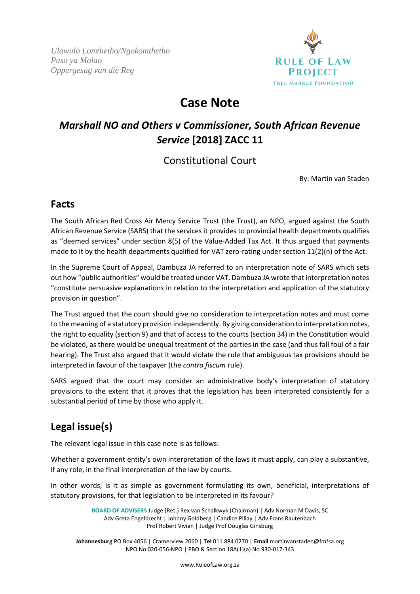*Ulawulo Lomthetho/Ngokomthetho Puso ya Molao Oppergesag van die Reg*



# **Case Note**

## *Marshall NO and Others v Commissioner, South African Revenue Service* **[2018] ZACC 11**

### Constitutional Court

By: Martin van Staden

### **Facts**

The South African Red Cross Air Mercy Service Trust (the Trust), an NPO, argued against the South African Revenue Service (SARS) that the services it provides to provincial health departments qualifies as "deemed services" under section 8(5) of the Value-Added Tax Act. It thus argued that payments made to it by the health departments qualified for VAT zero-rating under section 11(2)(n) of the Act.

In the Supreme Court of Appeal, Dambuza JA referred to an interpretation note of SARS which sets out how "public authorities" would be treated under VAT. Dambuza JA wrote that interpretation notes "constitute persuasive explanations in relation to the interpretation and application of the statutory provision in question".

The Trust argued that the court should give no consideration to interpretation notes and must come to the meaning of a statutory provision independently. By giving consideration to interpretation notes, the right to equality (section 9) and that of access to the courts (section 34) in the Constitution would be violated, as there would be unequal treatment of the parties in the case (and thus fall foul of a fair hearing). The Trust also argued that it would violate the rule that ambiguous tax provisions should be interpreted in favour of the taxpayer (the *contra fiscum* rule).

SARS argued that the court may consider an administrative body's interpretation of statutory provisions to the extent that it proves that the legislation has been interpreted consistently for a substantial period of time by those who apply it.

## **Legal issue(s)**

The relevant legal issue in this case note is as follows:

Whether a government entity's own interpretation of the laws it must apply, can play a substantive, if any role, in the final interpretation of the law by courts.

In other words; is it as simple as government formulating its own, beneficial, interpretations of statutory provisions, for that legislation to be interpreted in its favour?

> **BOARD OF ADVISERS** Judge (Ret.) Rex van Schalkwyk (Chairman) | Adv Norman M Davis, SC Adv Greta Engelbrecht | Johnny Goldberg | Candice Pillay | Adv Frans Rautenbach Prof Robert Vivian | Judge Prof Douglas Ginsburg

**Johannesburg** PO Box 4056 | Cramerview 2060 | **Tel** 011 884 0270 | **Email** martinvanstaden@fmfsa.org NPO No 020-056-NPO | PBO & Section 18A(1)(a) No 930-017-343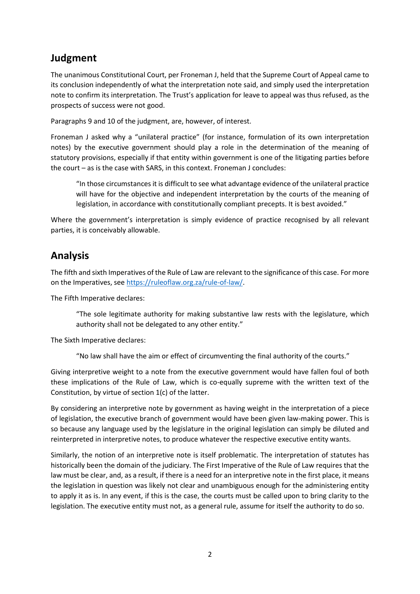### **Judgment**

The unanimous Constitutional Court, per Froneman J, held that the Supreme Court of Appeal came to its conclusion independently of what the interpretation note said, and simply used the interpretation note to confirm its interpretation. The Trust's application for leave to appeal was thus refused, as the prospects of success were not good.

Paragraphs 9 and 10 of the judgment, are, however, of interest.

Froneman J asked why a "unilateral practice" (for instance, formulation of its own interpretation notes) by the executive government should play a role in the determination of the meaning of statutory provisions, especially if that entity within government is one of the litigating parties before the court – as is the case with SARS, in this context. Froneman J concludes:

"In those circumstances it is difficult to see what advantage evidence of the unilateral practice will have for the objective and independent interpretation by the courts of the meaning of legislation, in accordance with constitutionally compliant precepts. It is best avoided."

Where the government's interpretation is simply evidence of practice recognised by all relevant parties, it is conceivably allowable.

#### **Analysis**

The fifth and sixth Imperatives of the Rule of Law are relevant to the significance of this case. For more on the Imperatives, see [https://ruleoflaw.org.za/rule-of-law/.](https://ruleoflaw.org.za/rule-of-law/)

The Fifth Imperative declares:

"The sole legitimate authority for making substantive law rests with the legislature, which authority shall not be delegated to any other entity."

The Sixth Imperative declares:

"No law shall have the aim or effect of circumventing the final authority of the courts."

Giving interpretive weight to a note from the executive government would have fallen foul of both these implications of the Rule of Law, which is co-equally supreme with the written text of the Constitution, by virtue of section 1(c) of the latter.

By considering an interpretive note by government as having weight in the interpretation of a piece of legislation, the executive branch of government would have been given law-making power. This is so because any language used by the legislature in the original legislation can simply be diluted and reinterpreted in interpretive notes, to produce whatever the respective executive entity wants.

Similarly, the notion of an interpretive note is itself problematic. The interpretation of statutes has historically been the domain of the judiciary. The First Imperative of the Rule of Law requires that the law must be clear, and, as a result, if there is a need for an interpretive note in the first place, it means the legislation in question was likely not clear and unambiguous enough for the administering entity to apply it as is. In any event, if this is the case, the courts must be called upon to bring clarity to the legislation. The executive entity must not, as a general rule, assume for itself the authority to do so.